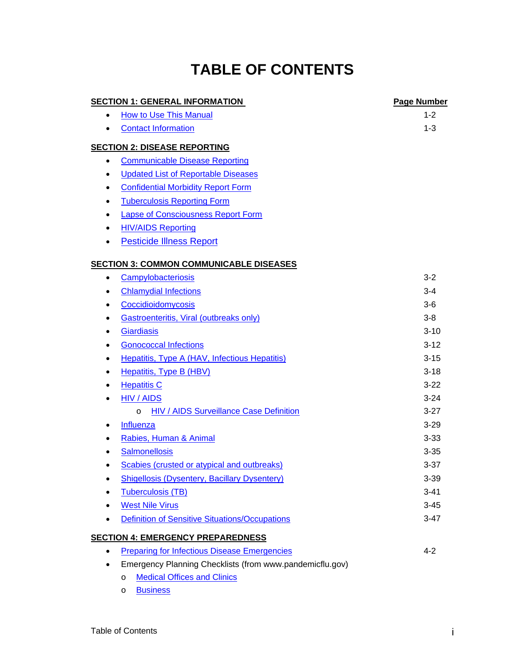# **TABLE OF CONTENTS**

## **SECTION 1: GENERAL INFORMATION PAGE AND RESERVE THE PAGE Number** • [How to Use This Manual](http://www.sjcphs.org/Healthcare_Providers/Documents/01 General Information/03 How to Use this Manual.pdf) 1-2 • [Contact Information](http://www.sjcphs.org/Healthcare_Providers/Documents/01 General Information/04 Public Health Contact Information.pdf) 1-3 **SECTION 2: DISEASE REPORTING** • [Communicable Disease Reporting](http://www.sjcphs.org/disease/disease_control_reporting.htm)  • [Updated List of Reportable Diseases](http://www.sjcphs.org/disease/documents/Reportable%20Diseases%203.pdf)  • [Confidential Morbidity Report Form](http://www.sjcphs.org/Disease/documents/cdph110a.pdf) • [Tuberculosis Reporting Form](http://www.sjcphs.org/Disease/documents/cdph110b.pdf) • [Lapse of Consciousness Report Form](http://www.sjcphs.org/Disease/documents/cdph110c.pdf) • [HIV/AIDS Reporting](http://www.sjcphs.org/disease/documents/DHS_8641A_6-06_(CaseReportForm).pdf) • [Pesticide Illness Report](http://www.sjcphs.org/disease/documents/PIR_99.pdf) **SECTION 3: COMMON COMMUNICABLE DISEASES**  • [Campylobacteriosis](http://www.sjcphs.org/Healthcare_Providers/Documents/03 Disease Information/02 CAMPYLOBACTERIOSIS.pdf) 3-2 • [Chlamydial Infections](http://www.sjcphs.org/Healthcare_Providers/Documents/03 Disease Information/03 CHLAMYDIAL INFECTIONS.pdf) 3-4 • [Coccidioidomycosis](http://www.sjcphs.org/Healthcare_Providers/Documents/03 Disease Information/04 COCCIDIOiDOMYCOSIS.pdf) 3-6 • [Gastroenteritis, Viral \(outbreaks only\)](http://www.sjcphs.org/Healthcare_Providers/Documents/03 Disease Information/05 GASTROENTERITIS.pdf) 3-8 • [Giardiasis](http://www.sjcphs.org/Healthcare_Providers/Documents/03 Disease Information/06 GIARDIASIS.pdf) 3-10 • [Gonococcal Infections](http://www.sjcphs.org/Healthcare_Providers/Documents/03 Disease Information/07 GONOCOCCAL INFECTIONS.pdf) 3-12 • [Hepatitis, Type A \(HAV, Infectious Hepatitis\)](http://www.sjcphs.org/Healthcare_Providers/Documents/03 Disease Information/08 HEPATITIS A.pdf) 3-15 • [Hepatitis, Type B \(HBV\)](http://www.sjcphs.org/Healthcare_Providers/Documents/03 Disease Information/09 HEPATITIS B.pdf) 3-18 • [Hepatitis C](http://www.sjcphs.org/Healthcare_Providers/Documents/03 Disease Information/10 HEPATITIS C.pdf) 3-22 •  $HIV / AIDS$  3-24 o [HIV / AIDS Surveillance Case Definition](http://www.sjcphs.org/Healthcare_Providers/Documents/03 Disease Information/12 HIV-AIDS Surv Case Def.pdf) 3-27 • [Influenza](http://www.sjcphs.org/Healthcare_Providers/Documents/03 Disease Information/13 INFLUENZA.pdf) 3-29 • [Rabies, Human & Animal](http://www.sjcphs.org/Healthcare_Providers/Documents/03 Disease Information/14 RABIES.pdf) 3-33 • [Salmonellosis](http://www.sjcphs.org/Healthcare_Providers/Documents/03 Disease Information/15 SALMONELLOSIS.pdf) 3-35 • [Scabies \(crusted or atypical and outbreaks\)](http://www.sjcphs.org/Healthcare_Providers/Documents/03 Disease Information/16 SCABIES.pdf) 3-37 • [Shigellosis \(Dysentery, Bacillary Dysentery\)](http://www.sjcphs.org/Healthcare_Providers/Documents/03 Disease Information/17 SHIGELLOSIS.pdf) 3-39 • [Tuberculosis \(TB\)](http://www.sjcphs.org/Healthcare_Providers/Documents/03 Disease Information/18 TUBERCULOSIS (TB).pdf) 3-41 • [West Nile Virus](http://www.sjcphs.org/Healthcare_Providers/Documents/03 Disease Information/19 WEST NILE VIRUS.pdf) 3-45 • [Definition of Sensitive Situations/Occupations](http://www.sjcphs.org/Healthcare_Providers/Documents/03 Disease Information/20 Sensitive Definitions.pdf) 3-47 **SECTION 4: EMERGENCY PREPAREDNESS** • [Preparing for Infectious Disease Emergencies](http://www.sjcphs.org/Healthcare_Providers/Documents/04 Emergency Preparedness/02 Preparing for Infectious Disease Emergencies.pdf) 4-2 • Emergency Planning Checklists (from www.pandemicflu.gov) o [Medical Offices and Clinics](http://www.sjcphs.org/Healthcare_Providers/Documents/04 Emergency Preparedness/03 Medical Office Checklist.pdf) o [Business](http://www.sjcphs.org/Healthcare_Providers/Documents/04 Emergency Preparedness/04 Business Checklist.pdf)